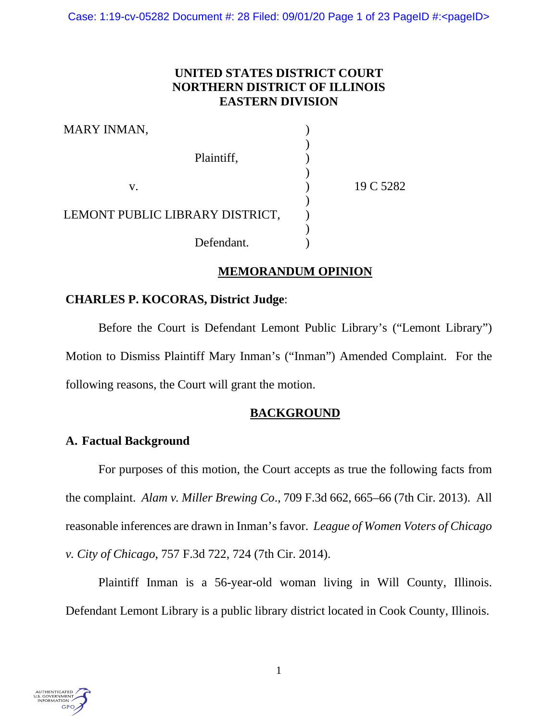Case: 1:19-cv-05282 Document #: 28 Filed: 09/01/20 Page 1 of 23 PageID #:<pageID>

# **UNITED STATES DISTRICT COURT NORTHERN DISTRICT OF ILLINOIS EASTERN DIVISION**

| MARY INMAN,                     |           |
|---------------------------------|-----------|
|                                 |           |
| Plaintiff,                      |           |
| v.                              | 19 C 5282 |
| LEMONT PUBLIC LIBRARY DISTRICT, |           |
| Defendant.                      |           |

# **MEMORANDUM OPINION**

# **CHARLES P. KOCORAS, District Judge**:

Before the Court is Defendant Lemont Public Library's ("Lemont Library") Motion to Dismiss Plaintiff Mary Inman's ("Inman") Amended Complaint. For the following reasons, the Court will grant the motion.

# **BACKGROUND**

# **A. Factual Background**

For purposes of this motion, the Court accepts as true the following facts from the complaint. *Alam v. Miller Brewing Co*., 709 F.3d 662, 665–66 (7th Cir. 2013). All reasonable inferences are drawn in Inman's favor. *League of Women Voters of Chicago v. City of Chicago*, 757 F.3d 722, 724 (7th Cir. 2014).

Plaintiff Inman is a 56-year-old woman living in Will County, Illinois. Defendant Lemont Library is a public library district located in Cook County, Illinois.

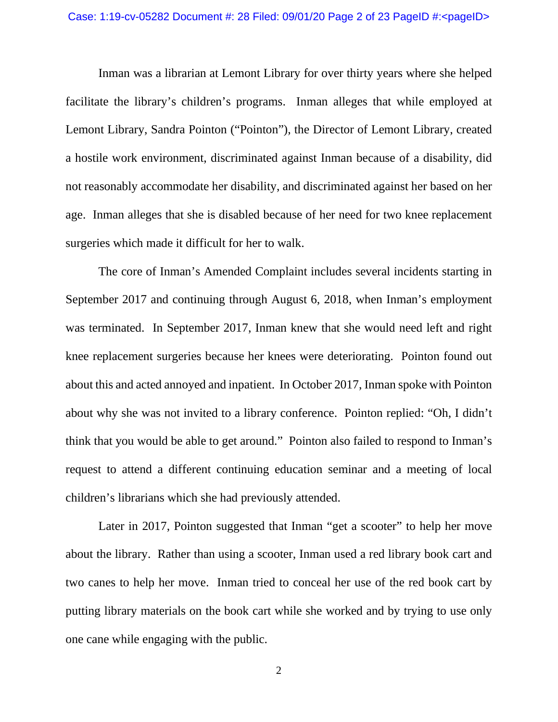Inman was a librarian at Lemont Library for over thirty years where she helped facilitate the library's children's programs. Inman alleges that while employed at Lemont Library, Sandra Pointon ("Pointon"), the Director of Lemont Library, created a hostile work environment, discriminated against Inman because of a disability, did not reasonably accommodate her disability, and discriminated against her based on her age. Inman alleges that she is disabled because of her need for two knee replacement surgeries which made it difficult for her to walk.

The core of Inman's Amended Complaint includes several incidents starting in September 2017 and continuing through August 6, 2018, when Inman's employment was terminated. In September 2017, Inman knew that she would need left and right knee replacement surgeries because her knees were deteriorating. Pointon found out about this and acted annoyed and inpatient. In October 2017, Inman spoke with Pointon about why she was not invited to a library conference. Pointon replied: "Oh, I didn't think that you would be able to get around." Pointon also failed to respond to Inman's request to attend a different continuing education seminar and a meeting of local children's librarians which she had previously attended.

Later in 2017, Pointon suggested that Inman "get a scooter" to help her move about the library. Rather than using a scooter, Inman used a red library book cart and two canes to help her move. Inman tried to conceal her use of the red book cart by putting library materials on the book cart while she worked and by trying to use only one cane while engaging with the public.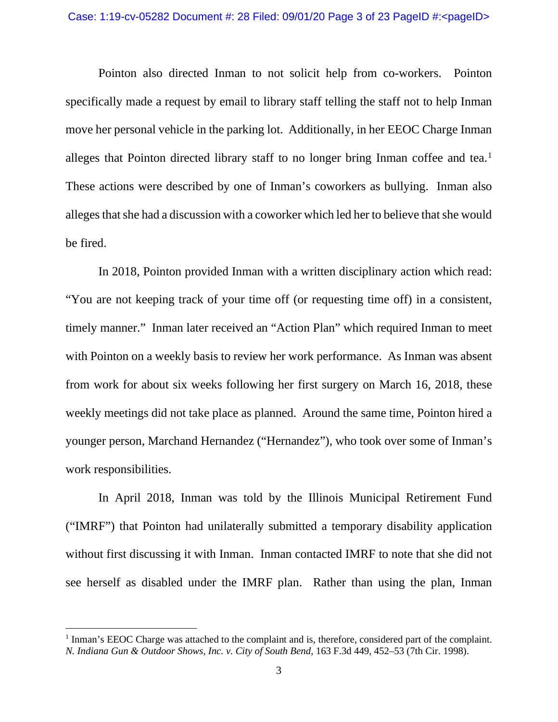Pointon also directed Inman to not solicit help from co-workers. Pointon specifically made a request by email to library staff telling the staff not to help Inman move her personal vehicle in the parking lot. Additionally, in her EEOC Charge Inman alleges that Pointon directed library staff to no longer bring Inman coffee and tea.<sup>[1](#page-2-0)</sup> These actions were described by one of Inman's coworkers as bullying. Inman also alleges that she had a discussion with a coworker which led her to believe that she would be fired.

In 2018, Pointon provided Inman with a written disciplinary action which read: "You are not keeping track of your time off (or requesting time off) in a consistent, timely manner." Inman later received an "Action Plan" which required Inman to meet with Pointon on a weekly basis to review her work performance. As Inman was absent from work for about six weeks following her first surgery on March 16, 2018, these weekly meetings did not take place as planned. Around the same time, Pointon hired a younger person, Marchand Hernandez ("Hernandez"), who took over some of Inman's work responsibilities.

In April 2018, Inman was told by the Illinois Municipal Retirement Fund ("IMRF") that Pointon had unilaterally submitted a temporary disability application without first discussing it with Inman. Inman contacted IMRF to note that she did not see herself as disabled under the IMRF plan. Rather than using the plan, Inman

<span id="page-2-0"></span><sup>&</sup>lt;sup>1</sup> Inman's EEOC Charge was attached to the complaint and is, therefore, considered part of the complaint. *N. Indiana Gun & Outdoor Shows, Inc. v. City of South Bend*, 163 F.3d 449, 452–53 (7th Cir. 1998).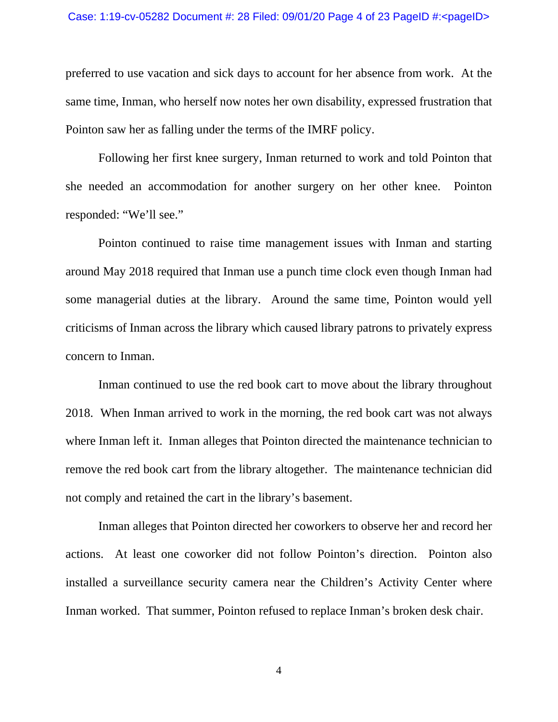preferred to use vacation and sick days to account for her absence from work. At the same time, Inman, who herself now notes her own disability, expressed frustration that Pointon saw her as falling under the terms of the IMRF policy.

Following her first knee surgery, Inman returned to work and told Pointon that she needed an accommodation for another surgery on her other knee. Pointon responded: "We'll see."

Pointon continued to raise time management issues with Inman and starting around May 2018 required that Inman use a punch time clock even though Inman had some managerial duties at the library. Around the same time, Pointon would yell criticisms of Inman across the library which caused library patrons to privately express concern to Inman.

Inman continued to use the red book cart to move about the library throughout 2018. When Inman arrived to work in the morning, the red book cart was not always where Inman left it. Inman alleges that Pointon directed the maintenance technician to remove the red book cart from the library altogether. The maintenance technician did not comply and retained the cart in the library's basement.

Inman alleges that Pointon directed her coworkers to observe her and record her actions. At least one coworker did not follow Pointon's direction. Pointon also installed a surveillance security camera near the Children's Activity Center where Inman worked. That summer, Pointon refused to replace Inman's broken desk chair.

4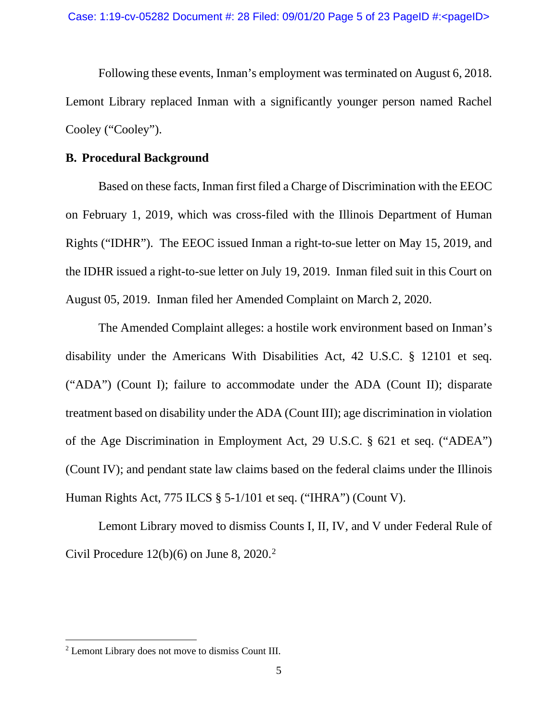Following these events, Inman's employment was terminated on August 6, 2018. Lemont Library replaced Inman with a significantly younger person named Rachel Cooley ("Cooley").

### **B. Procedural Background**

Based on these facts, Inman first filed a Charge of Discrimination with the EEOC on February 1, 2019, which was cross-filed with the Illinois Department of Human Rights ("IDHR"). The EEOC issued Inman a right-to-sue letter on May 15, 2019, and the IDHR issued a right-to-sue letter on July 19, 2019. Inman filed suit in this Court on August 05, 2019. Inman filed her Amended Complaint on March 2, 2020.

The Amended Complaint alleges: a hostile work environment based on Inman's disability under the Americans With Disabilities Act, 42 U.S.C. § 12101 et seq. ("ADA") (Count I); failure to accommodate under the ADA (Count II); disparate treatment based on disability under the ADA (Count III); age discrimination in violation of the Age Discrimination in Employment Act, 29 U.S.C. § 621 et seq. ("ADEA") (Count IV); and pendant state law claims based on the federal claims under the Illinois Human Rights Act, 775 ILCS § 5-1/101 et seq. ("IHRA") (Count V).

Lemont Library moved to dismiss Counts I, II, IV, and V under Federal Rule of Civil Procedure  $12(b)(6)$  $12(b)(6)$  $12(b)(6)$  on June 8, 2020.<sup>2</sup>

<span id="page-4-0"></span><sup>2</sup> Lemont Library does not move to dismiss Count III.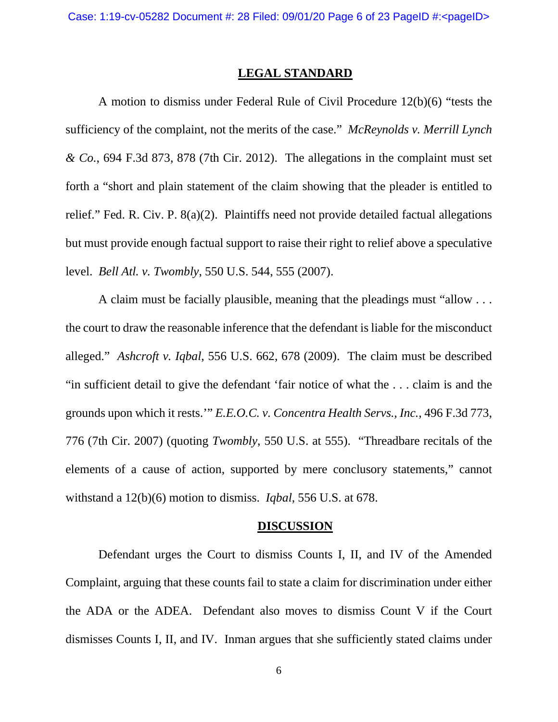#### **LEGAL STANDARD**

A motion to dismiss under Federal Rule of Civil Procedure 12(b)(6) "tests the sufficiency of the complaint, not the merits of the case." *McReynolds v. Merrill Lynch & Co.*, 694 F.3d 873, 878 (7th Cir. 2012). The allegations in the complaint must set forth a "short and plain statement of the claim showing that the pleader is entitled to relief." Fed. R. Civ. P. 8(a)(2). Plaintiffs need not provide detailed factual allegations but must provide enough factual support to raise their right to relief above a speculative level. *Bell Atl. v. Twombly*, 550 U.S. 544, 555 (2007).

A claim must be facially plausible, meaning that the pleadings must "allow . . . the court to draw the reasonable inference that the defendant is liable for the misconduct alleged." *Ashcroft v. Iqbal*, 556 U.S. 662, 678 (2009). The claim must be described "in sufficient detail to give the defendant 'fair notice of what the . . . claim is and the grounds upon which it rests.'" *E.E.O.C. v. Concentra Health Servs., Inc.*, 496 F.3d 773, 776 (7th Cir. 2007) (quoting *Twombly*, 550 U.S. at 555). "Threadbare recitals of the elements of a cause of action, supported by mere conclusory statements," cannot withstand a 12(b)(6) motion to dismiss. *Iqbal*, 556 U.S. at 678.

#### **DISCUSSION**

Defendant urges the Court to dismiss Counts I, II, and IV of the Amended Complaint, arguing that these counts fail to state a claim for discrimination under either the ADA or the ADEA. Defendant also moves to dismiss Count V if the Court dismisses Counts I, II, and IV. Inman argues that she sufficiently stated claims under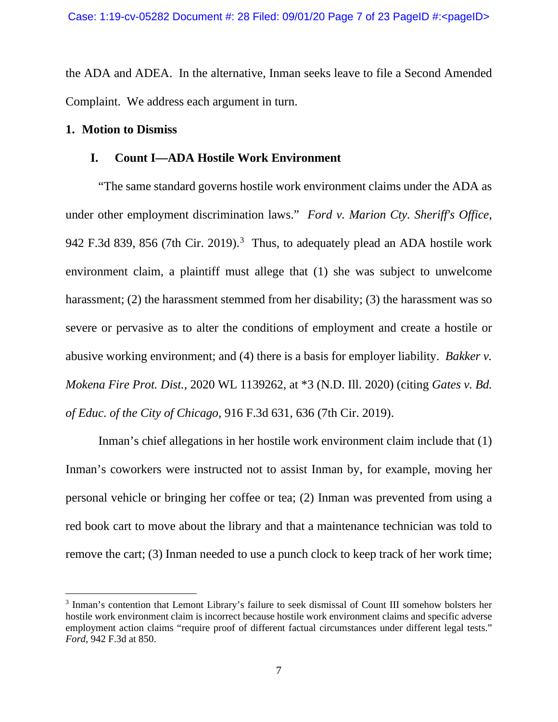the ADA and ADEA. In the alternative, Inman seeks leave to file a Second Amended Complaint. We address each argument in turn.

### **1. Motion to Dismiss**

### **I. Count I—ADA Hostile Work Environment**

"The same standard governs hostile work environment claims under the ADA as under other employment discrimination laws." *Ford v. Marion Cty. Sheriff's Office*, 942 F.[3](#page-6-0)d 839, 856 (7th Cir. 2019).<sup>3</sup> Thus, to adequately plead an ADA hostile work environment claim, a plaintiff must allege that (1) she was subject to unwelcome harassment; (2) the harassment stemmed from her disability; (3) the harassment was so severe or pervasive as to alter the conditions of employment and create a hostile or abusive working environment; and (4) there is a basis for employer liability. *Bakker v. Mokena Fire Prot. Dist.*, 2020 WL 1139262, at \*3 (N.D. Ill. 2020) (citing *Gates v. Bd. of Educ. of the City of Chicago*, 916 F.3d 631, 636 (7th Cir. 2019).

Inman's chief allegations in her hostile work environment claim include that (1) Inman's coworkers were instructed not to assist Inman by, for example, moving her personal vehicle or bringing her coffee or tea; (2) Inman was prevented from using a red book cart to move about the library and that a maintenance technician was told to remove the cart; (3) Inman needed to use a punch clock to keep track of her work time;

<span id="page-6-0"></span><sup>3</sup> Inman's contention that Lemont Library's failure to seek dismissal of Count III somehow bolsters her hostile work environment claim is incorrect because hostile work environment claims and specific adverse employment action claims "require proof of different factual circumstances under different legal tests." *Ford*, 942 F.3d at 850.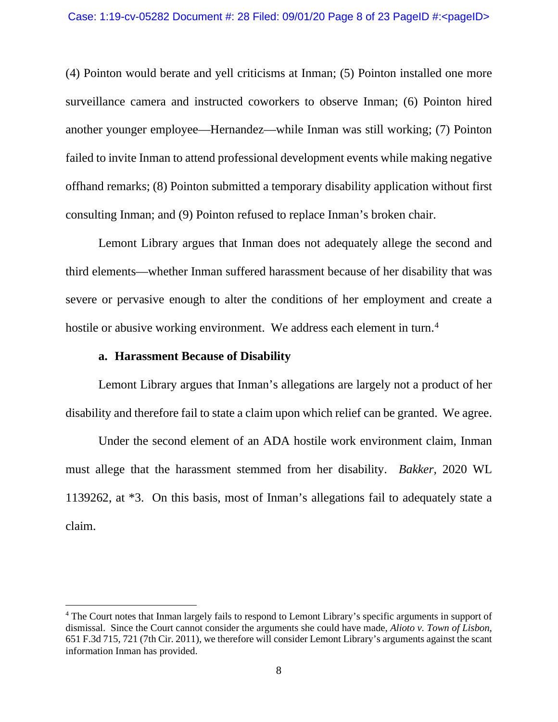(4) Pointon would berate and yell criticisms at Inman; (5) Pointon installed one more surveillance camera and instructed coworkers to observe Inman; (6) Pointon hired another younger employee—Hernandez—while Inman was still working; (7) Pointon failed to invite Inman to attend professional development events while making negative offhand remarks; (8) Pointon submitted a temporary disability application without first consulting Inman; and (9) Pointon refused to replace Inman's broken chair.

Lemont Library argues that Inman does not adequately allege the second and third elements—whether Inman suffered harassment because of her disability that was severe or pervasive enough to alter the conditions of her employment and create a hostile or abusive working environment. We address each element in turn.<sup>[4](#page-7-0)</sup>

### **a. Harassment Because of Disability**

Lemont Library argues that Inman's allegations are largely not a product of her disability and therefore fail to state a claim upon which relief can be granted. We agree.

Under the second element of an ADA hostile work environment claim, Inman must allege that the harassment stemmed from her disability. *Bakker,* 2020 WL 1139262, at \*3. On this basis, most of Inman's allegations fail to adequately state a claim.

<span id="page-7-0"></span><sup>4</sup> The Court notes that Inman largely fails to respond to Lemont Library's specific arguments in support of dismissal. Since the Court cannot consider the arguments she could have made, *Alioto v. Town of Lisbon*, 651 F.3d 715, 721 (7th Cir. 2011), we therefore will consider Lemont Library's arguments against the scant information Inman has provided.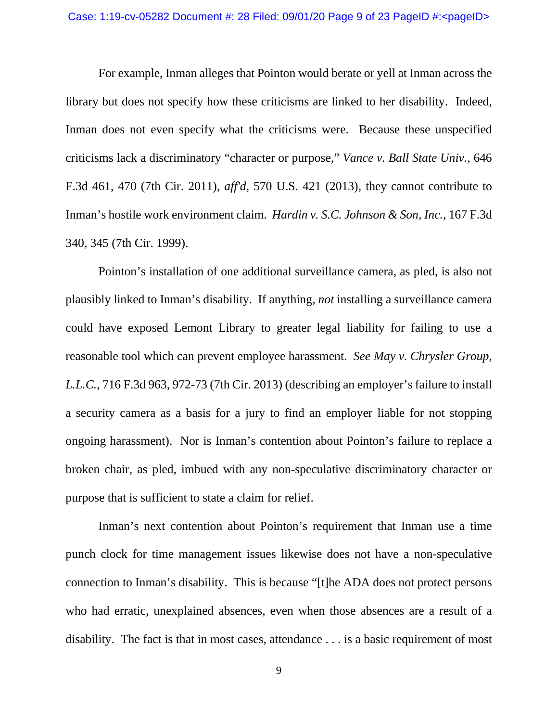For example, Inman alleges that Pointon would berate or yell at Inman across the library but does not specify how these criticisms are linked to her disability. Indeed, Inman does not even specify what the criticisms were. Because these unspecified criticisms lack a discriminatory "character or purpose," *Vance v. Ball State Univ.,* 646 F.3d 461, 470 (7th Cir. 2011), *aff'd*, 570 U.S. 421 (2013), they cannot contribute to Inman's hostile work environment claim. *Hardin v. S.C. Johnson & Son, Inc.,* 167 F.3d 340, 345 (7th Cir. 1999).

Pointon's installation of one additional surveillance camera, as pled, is also not plausibly linked to Inman's disability. If anything, *not* installing a surveillance camera could have exposed Lemont Library to greater legal liability for failing to use a reasonable tool which can prevent employee harassment. *See May v. Chrysler Group, L.L.C.*, 716 F.3d 963, 972-73 (7th Cir. 2013) (describing an employer's failure to install a security camera as a basis for a jury to find an employer liable for not stopping ongoing harassment). Nor is Inman's contention about Pointon's failure to replace a broken chair, as pled, imbued with any non-speculative discriminatory character or purpose that is sufficient to state a claim for relief.

Inman's next contention about Pointon's requirement that Inman use a time punch clock for time management issues likewise does not have a non-speculative connection to Inman's disability. This is because "[t]he ADA does not protect persons who had erratic, unexplained absences, even when those absences are a result of a disability. The fact is that in most cases, attendance . . . is a basic requirement of most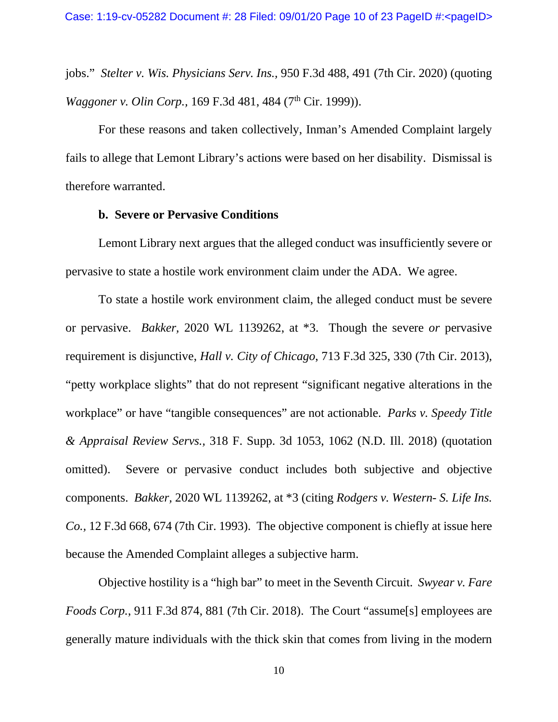jobs." *Stelter v. Wis. Physicians Serv. Ins.,* 950 F.3d 488, 491 (7th Cir. 2020) (quoting *Waggoner v. Olin Corp.,* 169 F.3d 481, 484 (7<sup>th</sup> Cir. 1999)).

For these reasons and taken collectively, Inman's Amended Complaint largely fails to allege that Lemont Library's actions were based on her disability. Dismissal is therefore warranted.

#### **b. Severe or Pervasive Conditions**

Lemont Library next argues that the alleged conduct was insufficiently severe or pervasive to state a hostile work environment claim under the ADA. We agree.

To state a hostile work environment claim, the alleged conduct must be severe or pervasive. *Bakker,* 2020 WL 1139262, at \*3. Though the severe *or* pervasive requirement is disjunctive, *Hall v. City of Chicago*, 713 F.3d 325, 330 (7th Cir. 2013), "petty workplace slights" that do not represent "significant negative alterations in the workplace" or have "tangible consequences" are not actionable. *Parks v. Speedy Title & Appraisal Review Servs.,* 318 F. Supp. 3d 1053, 1062 (N.D. Ill. 2018) (quotation omitted). Severe or pervasive conduct includes both subjective and objective components. *Bakker,* 2020 WL 1139262, at \*3 (citing *Rodgers v. Western- S. Life Ins. Co.,* 12 F.3d 668, 674 (7th Cir. 1993). The objective component is chiefly at issue here because the Amended Complaint alleges a subjective harm.

Objective hostility is a "high bar" to meet in the Seventh Circuit. *Swyear v. Fare Foods Corp.*, 911 F.3d 874, 881 (7th Cir. 2018). The Court "assume[s] employees are generally mature individuals with the thick skin that comes from living in the modern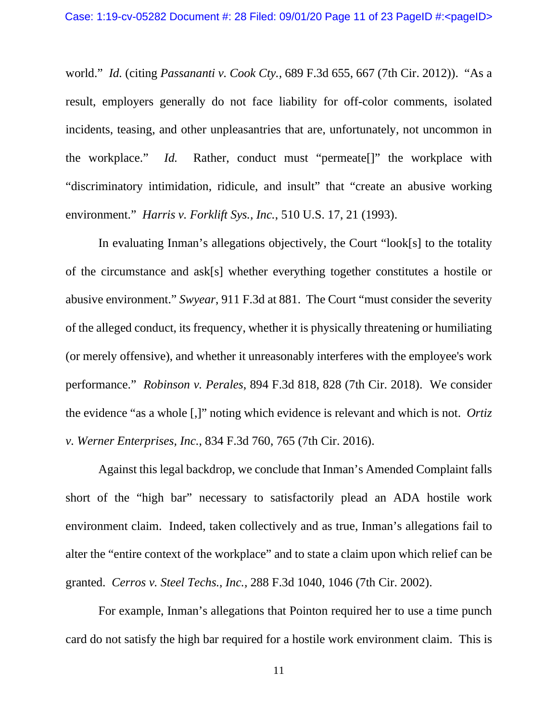world." *Id.* (citing *Passananti v. Cook Cty.,* 689 F.3d 655, 667 (7th Cir. 2012)). "As a result, employers generally do not face liability for off-color comments, isolated incidents, teasing, and other unpleasantries that are, unfortunately, not uncommon in the workplace." *Id.* Rather, conduct must "permeate[]" the workplace with "discriminatory intimidation, ridicule, and insult" that "create an abusive working environment." *Harris v. Forklift Sys., Inc.*, 510 U.S. 17, 21 (1993).

In evaluating Inman's allegations objectively, the Court "look[s] to the totality of the circumstance and ask[s] whether everything together constitutes a hostile or abusive environment." *Swyear*, 911 F.3d at 881. The Court "must consider the severity of the alleged conduct, its frequency, whether it is physically threatening or humiliating (or merely offensive), and whether it unreasonably interferes with the employee's work performance." *Robinson v. Perales*, 894 F.3d 818, 828 (7th Cir. 2018). We consider the evidence "as a whole [,]" noting which evidence is relevant and which is not. *Ortiz v. Werner Enterprises, Inc.*, 834 F.3d 760, 765 (7th Cir. 2016).

Against this legal backdrop, we conclude that Inman's Amended Complaint falls short of the "high bar" necessary to satisfactorily plead an ADA hostile work environment claim. Indeed, taken collectively and as true, Inman's allegations fail to alter the "entire context of the workplace" and to state a claim upon which relief can be granted. *Cerros v. Steel Techs., Inc.,* 288 F.3d 1040, 1046 (7th Cir. 2002).

For example, Inman's allegations that Pointon required her to use a time punch card do not satisfy the high bar required for a hostile work environment claim. This is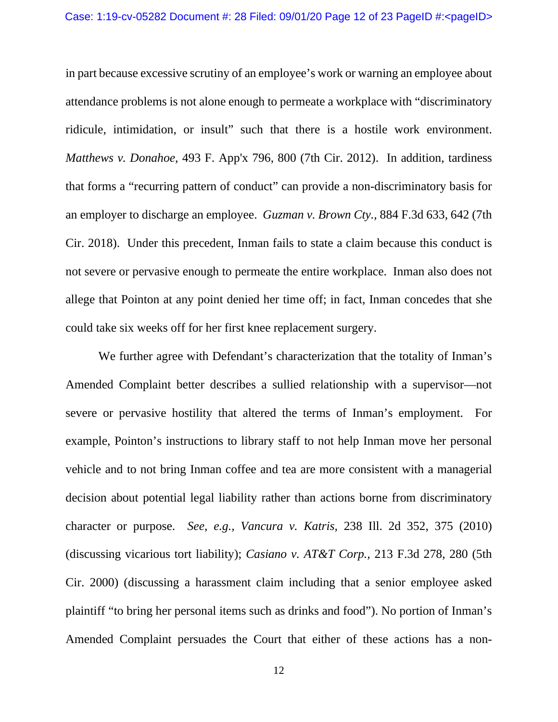in part because excessive scrutiny of an employee's work or warning an employee about attendance problems is not alone enough to permeate a workplace with "discriminatory ridicule, intimidation, or insult" such that there is a hostile work environment. *Matthews v. Donahoe*, 493 F. App'x 796, 800 (7th Cir. 2012). In addition, tardiness that forms a "recurring pattern of conduct" can provide a non-discriminatory basis for an employer to discharge an employee. *Guzman v. Brown Cty.,* 884 F.3d 633, 642 (7th Cir. 2018). Under this precedent, Inman fails to state a claim because this conduct is not severe or pervasive enough to permeate the entire workplace. Inman also does not allege that Pointon at any point denied her time off; in fact, Inman concedes that she could take six weeks off for her first knee replacement surgery.

We further agree with Defendant's characterization that the totality of Inman's Amended Complaint better describes a sullied relationship with a supervisor—not severe or pervasive hostility that altered the terms of Inman's employment. For example, Pointon's instructions to library staff to not help Inman move her personal vehicle and to not bring Inman coffee and tea are more consistent with a managerial decision about potential legal liability rather than actions borne from discriminatory character or purpose. *See, e.g., Vancura v. Katris,* 238 Ill. 2d 352, 375 (2010) (discussing vicarious tort liability); *Casiano v. AT&T Corp.,* 213 F.3d 278, 280 (5th Cir. 2000) (discussing a harassment claim including that a senior employee asked plaintiff "to bring her personal items such as drinks and food"). No portion of Inman's Amended Complaint persuades the Court that either of these actions has a non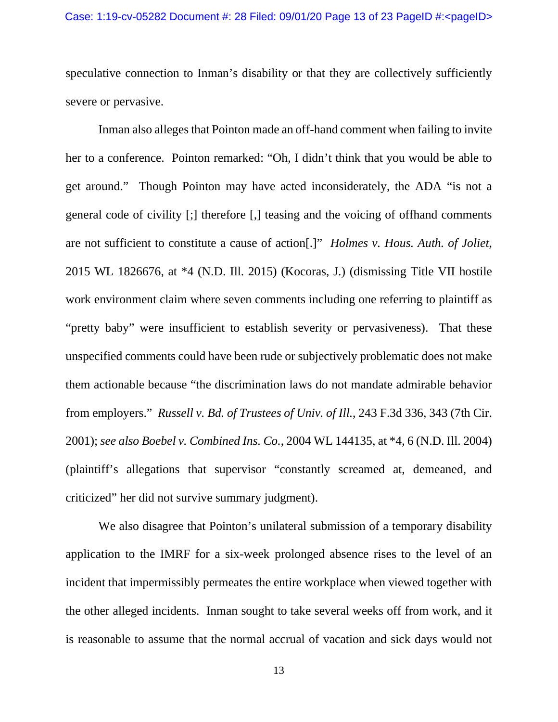speculative connection to Inman's disability or that they are collectively sufficiently severe or pervasive.

Inman also alleges that Pointon made an off-hand comment when failing to invite her to a conference. Pointon remarked: "Oh, I didn't think that you would be able to get around." Though Pointon may have acted inconsiderately, the ADA "is not a general code of civility [;] therefore [,] teasing and the voicing of offhand comments are not sufficient to constitute a cause of action[.]" *Holmes v. Hous. Auth. of Joliet*, 2015 WL 1826676, at \*4 (N.D. Ill. 2015) (Kocoras, J.) (dismissing Title VII hostile work environment claim where seven comments including one referring to plaintiff as "pretty baby" were insufficient to establish severity or pervasiveness). That these unspecified comments could have been rude or subjectively problematic does not make them actionable because "the discrimination laws do not mandate admirable behavior from employers." *Russell v. Bd. of Trustees of Univ. of Ill.*, 243 F.3d 336, 343 (7th Cir. 2001); *see also Boebel v. Combined Ins. Co.*, 2004 WL 144135, at \*4, 6 (N.D. Ill. 2004) (plaintiff's allegations that supervisor "constantly screamed at, demeaned, and criticized" her did not survive summary judgment).

We also disagree that Pointon's unilateral submission of a temporary disability application to the IMRF for a six-week prolonged absence rises to the level of an incident that impermissibly permeates the entire workplace when viewed together with the other alleged incidents. Inman sought to take several weeks off from work, and it is reasonable to assume that the normal accrual of vacation and sick days would not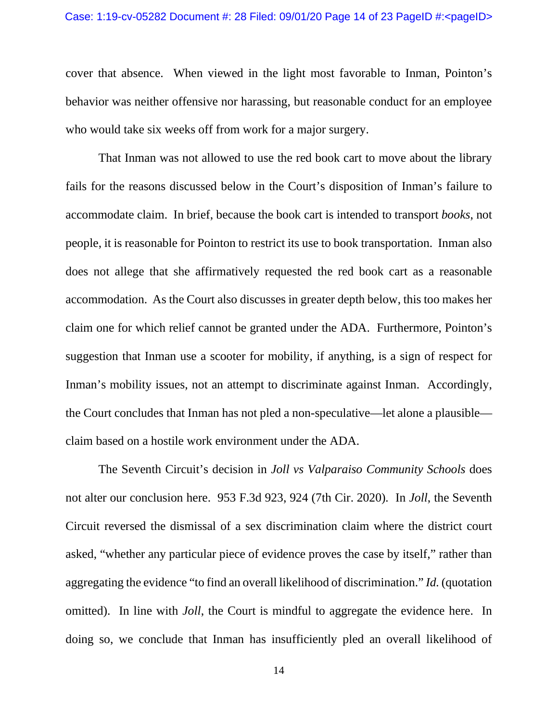cover that absence. When viewed in the light most favorable to Inman, Pointon's behavior was neither offensive nor harassing, but reasonable conduct for an employee who would take six weeks off from work for a major surgery.

That Inman was not allowed to use the red book cart to move about the library fails for the reasons discussed below in the Court's disposition of Inman's failure to accommodate claim. In brief, because the book cart is intended to transport *books*, not people, it is reasonable for Pointon to restrict its use to book transportation. Inman also does not allege that she affirmatively requested the red book cart as a reasonable accommodation. As the Court also discusses in greater depth below, this too makes her claim one for which relief cannot be granted under the ADA. Furthermore, Pointon's suggestion that Inman use a scooter for mobility, if anything, is a sign of respect for Inman's mobility issues, not an attempt to discriminate against Inman. Accordingly, the Court concludes that Inman has not pled a non-speculative—let alone a plausible claim based on a hostile work environment under the ADA.

The Seventh Circuit's decision in *Joll vs Valparaiso Community Schools* does not alter our conclusion here. 953 F.3d 923, 924 (7th Cir. 2020)*.* In *Joll*, the Seventh Circuit reversed the dismissal of a sex discrimination claim where the district court asked, "whether any particular piece of evidence proves the case by itself," rather than aggregating the evidence "to find an overall likelihood of discrimination." *Id.* (quotation omitted). In line with *Joll*, the Court is mindful to aggregate the evidence here. In doing so, we conclude that Inman has insufficiently pled an overall likelihood of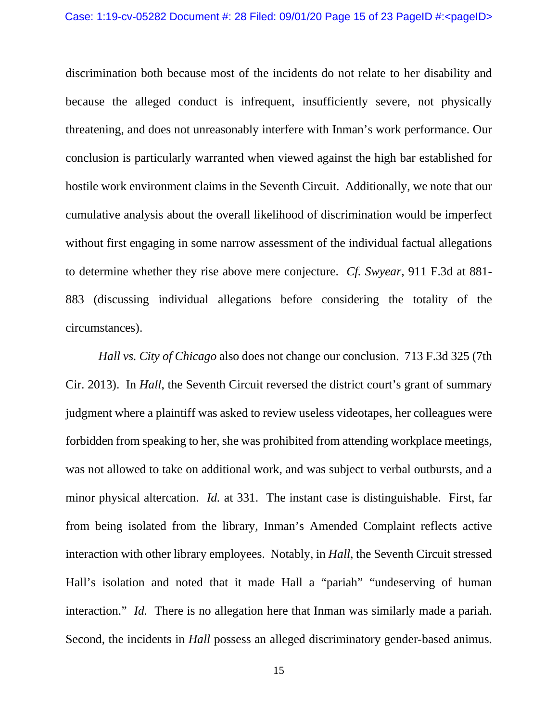discrimination both because most of the incidents do not relate to her disability and because the alleged conduct is infrequent, insufficiently severe, not physically threatening, and does not unreasonably interfere with Inman's work performance. Our conclusion is particularly warranted when viewed against the high bar established for hostile work environment claims in the Seventh Circuit. Additionally, we note that our cumulative analysis about the overall likelihood of discrimination would be imperfect without first engaging in some narrow assessment of the individual factual allegations to determine whether they rise above mere conjecture. *Cf. Swyear*, 911 F.3d at 881- 883 (discussing individual allegations before considering the totality of the circumstances).

*Hall vs. City of Chicago* also does not change our conclusion. 713 F.3d 325 (7th Cir. 2013). In *Hall*, the Seventh Circuit reversed the district court's grant of summary judgment where a plaintiff was asked to review useless videotapes, her colleagues were forbidden from speaking to her, she was prohibited from attending workplace meetings, was not allowed to take on additional work, and was subject to verbal outbursts, and a minor physical altercation. *Id.* at 331. The instant case is distinguishable. First, far from being isolated from the library, Inman's Amended Complaint reflects active interaction with other library employees. Notably, in *Hall*, the Seventh Circuit stressed Hall's isolation and noted that it made Hall a "pariah" "undeserving of human interaction." *Id.* There is no allegation here that Inman was similarly made a pariah. Second, the incidents in *Hall* possess an alleged discriminatory gender-based animus.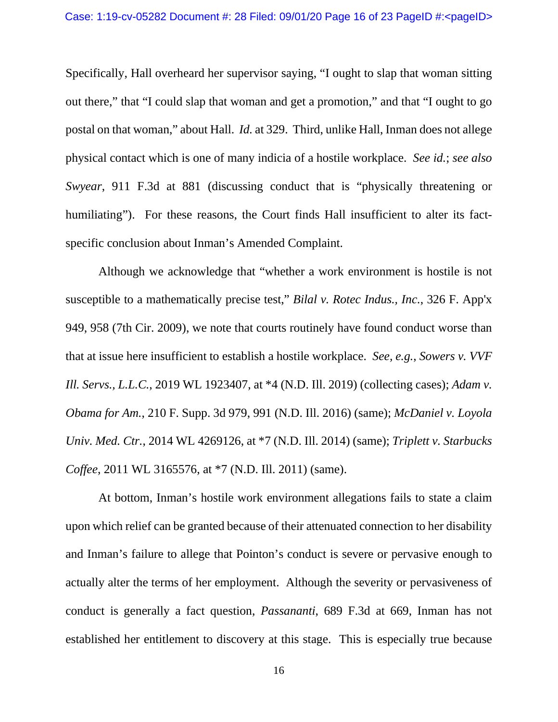Specifically, Hall overheard her supervisor saying, "I ought to slap that woman sitting out there," that "I could slap that woman and get a promotion," and that "I ought to go postal on that woman," about Hall. *Id.* at 329. Third, unlike Hall, Inman does not allege physical contact which is one of many indicia of a hostile workplace. *See id.*; *see also Swyear*, 911 F.3d at 881 (discussing conduct that is "physically threatening or humiliating"). For these reasons, the Court finds Hall insufficient to alter its factspecific conclusion about Inman's Amended Complaint.

Although we acknowledge that "whether a work environment is hostile is not susceptible to a mathematically precise test," *Bilal v. Rotec Indus., Inc.*, 326 F. App'x 949, 958 (7th Cir. 2009), we note that courts routinely have found conduct worse than that at issue here insufficient to establish a hostile workplace. *See, e.g.*, *Sowers v. VVF Ill. Servs., L.L.C.*, 2019 WL 1923407, at \*4 (N.D. Ill. 2019) (collecting cases); *Adam v. Obama for Am.*, 210 F. Supp. 3d 979, 991 (N.D. Ill. 2016) (same); *McDaniel v. Loyola Univ. Med. Ctr.*, 2014 WL 4269126, at \*7 (N.D. Ill. 2014) (same); *Triplett v. Starbucks Coffee*, 2011 WL 3165576, at \*7 (N.D. Ill. 2011) (same).

At bottom, Inman's hostile work environment allegations fails to state a claim upon which relief can be granted because of their attenuated connection to her disability and Inman's failure to allege that Pointon's conduct is severe or pervasive enough to actually alter the terms of her employment. Although the severity or pervasiveness of conduct is generally a fact question, *Passananti*, 689 F.3d at 669, Inman has not established her entitlement to discovery at this stage. This is especially true because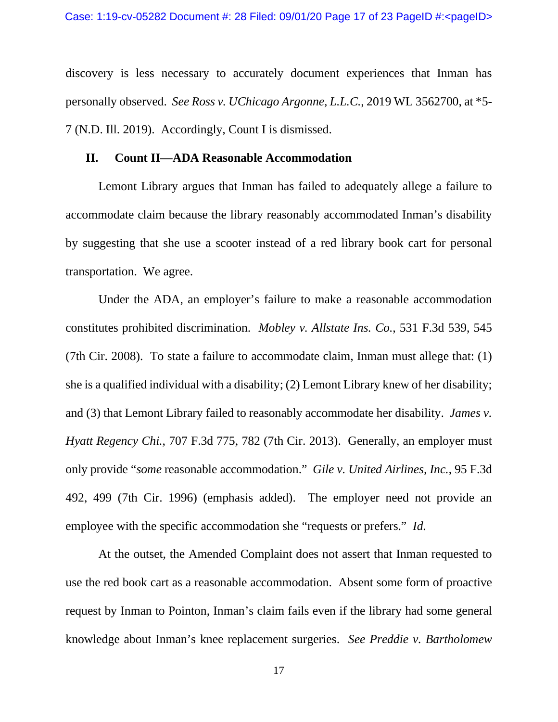discovery is less necessary to accurately document experiences that Inman has personally observed. *See Ross v. UChicago Argonne, L.L.C.*, 2019 WL 3562700, at \*5- 7 (N.D. Ill. 2019). Accordingly, Count I is dismissed.

#### **II. Count II—ADA Reasonable Accommodation**

Lemont Library argues that Inman has failed to adequately allege a failure to accommodate claim because the library reasonably accommodated Inman's disability by suggesting that she use a scooter instead of a red library book cart for personal transportation. We agree.

Under the ADA, an employer's failure to make a reasonable accommodation constitutes prohibited discrimination. *Mobley v. Allstate Ins. Co.*, 531 F.3d 539, 545 (7th Cir. 2008). To state a failure to accommodate claim, Inman must allege that: (1) she is a qualified individual with a disability; (2) Lemont Library knew of her disability; and (3) that Lemont Library failed to reasonably accommodate her disability. *James v. Hyatt Regency Chi.*, 707 F.3d 775, 782 (7th Cir. 2013). Generally, an employer must only provide "*some* reasonable accommodation." *Gile v. United Airlines, Inc.*, 95 F.3d 492, 499 (7th Cir. 1996) (emphasis added). The employer need not provide an employee with the specific accommodation she "requests or prefers." *Id.*

At the outset, the Amended Complaint does not assert that Inman requested to use the red book cart as a reasonable accommodation. Absent some form of proactive request by Inman to Pointon, Inman's claim fails even if the library had some general knowledge about Inman's knee replacement surgeries. *See Preddie v. Bartholomew*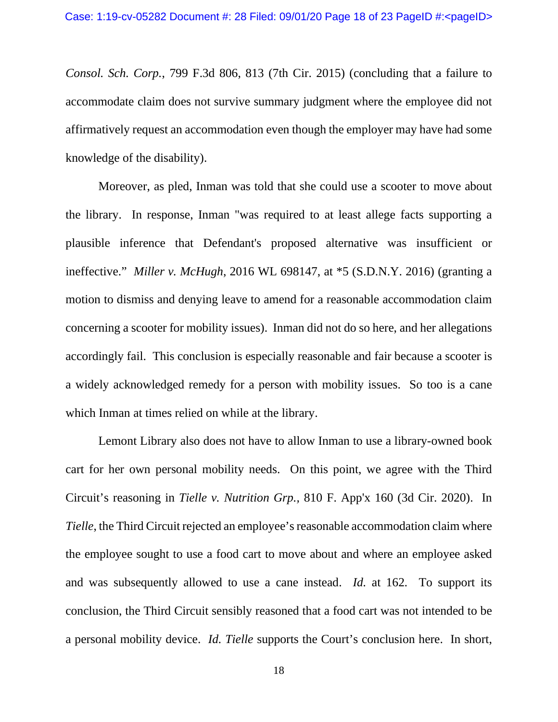*Consol. Sch. Corp.*, 799 F.3d 806, 813 (7th Cir. 2015) (concluding that a failure to accommodate claim does not survive summary judgment where the employee did not affirmatively request an accommodation even though the employer may have had some knowledge of the disability).

Moreover, as pled, Inman was told that she could use a scooter to move about the library. In response, Inman "was required to at least allege facts supporting a plausible inference that Defendant's proposed alternative was insufficient or ineffective." *Miller v. McHugh*, 2016 WL 698147, at \*5 (S.D.N.Y. 2016) (granting a motion to dismiss and denying leave to amend for a reasonable accommodation claim concerning a scooter for mobility issues). Inman did not do so here, and her allegations accordingly fail. This conclusion is especially reasonable and fair because a scooter is a widely acknowledged remedy for a person with mobility issues. So too is a cane which Inman at times relied on while at the library.

Lemont Library also does not have to allow Inman to use a library-owned book cart for her own personal mobility needs. On this point, we agree with the Third Circuit's reasoning in *Tielle v. Nutrition Grp.,* 810 F. App'x 160 (3d Cir. 2020). In *Tielle*, the Third Circuit rejected an employee's reasonable accommodation claim where the employee sought to use a food cart to move about and where an employee asked and was subsequently allowed to use a cane instead. *Id.* at 162*.* To support its conclusion, the Third Circuit sensibly reasoned that a food cart was not intended to be a personal mobility device. *Id. Tielle* supports the Court's conclusion here. In short,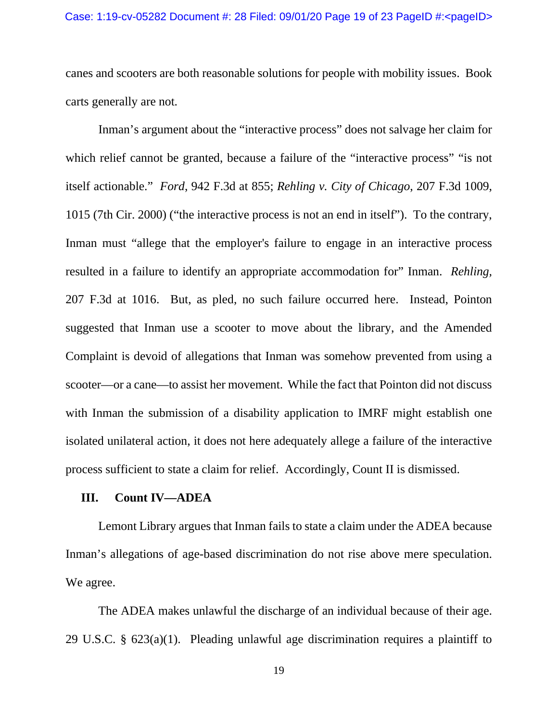canes and scooters are both reasonable solutions for people with mobility issues. Book carts generally are not.

Inman's argument about the "interactive process" does not salvage her claim for which relief cannot be granted, because a failure of the "interactive process" "is not itself actionable." *Ford*, 942 F.3d at 855; *Rehling v. City of Chicago*, 207 F.3d 1009, 1015 (7th Cir. 2000) ("the interactive process is not an end in itself"). To the contrary, Inman must "allege that the employer's failure to engage in an interactive process resulted in a failure to identify an appropriate accommodation for" Inman. *Rehling,*  207 F.3d at 1016. But, as pled, no such failure occurred here. Instead, Pointon suggested that Inman use a scooter to move about the library, and the Amended Complaint is devoid of allegations that Inman was somehow prevented from using a scooter—or a cane—to assist her movement. While the fact that Pointon did not discuss with Inman the submission of a disability application to IMRF might establish one isolated unilateral action, it does not here adequately allege a failure of the interactive process sufficient to state a claim for relief. Accordingly, Count II is dismissed.

### **III. Count IV—ADEA**

Lemont Library argues that Inman fails to state a claim under the ADEA because Inman's allegations of age-based discrimination do not rise above mere speculation. We agree.

The ADEA makes unlawful the discharge of an individual because of their age. 29 U.S.C. § 623(a)(1). Pleading unlawful age discrimination requires a plaintiff to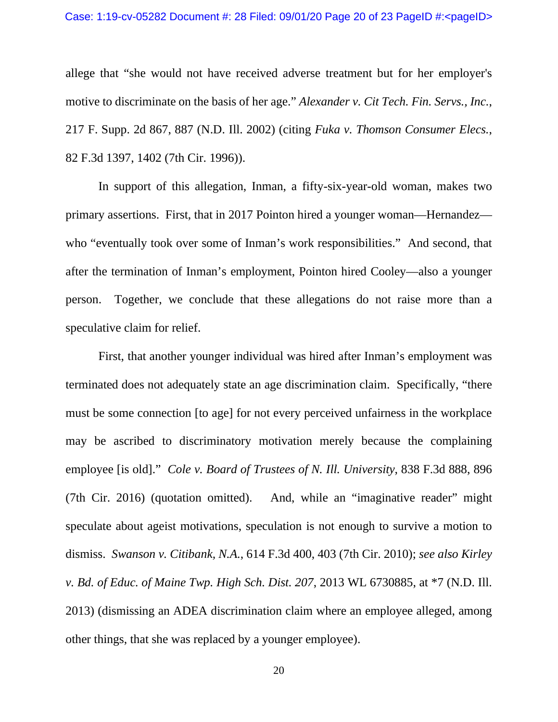#### Case: 1:19-cv-05282 Document #: 28 Filed: 09/01/20 Page 20 of 23 PageID #:<pageID>

allege that "she would not have received adverse treatment but for her employer's motive to discriminate on the basis of her age." *Alexander v. Cit Tech. Fin. Servs., Inc.*, 217 F. Supp. 2d 867, 887 (N.D. Ill. 2002) (citing *Fuka v. Thomson Consumer Elecs.*, 82 F.3d 1397, 1402 (7th Cir. 1996)).

In support of this allegation, Inman, a fifty-six-year-old woman, makes two primary assertions. First, that in 2017 Pointon hired a younger woman—Hernandez who "eventually took over some of Inman's work responsibilities." And second, that after the termination of Inman's employment, Pointon hired Cooley—also a younger person. Together, we conclude that these allegations do not raise more than a speculative claim for relief.

First, that another younger individual was hired after Inman's employment was terminated does not adequately state an age discrimination claim. Specifically, "there must be some connection [to age] for not every perceived unfairness in the workplace may be ascribed to discriminatory motivation merely because the complaining employee [is old]." *Cole v. Board of Trustees of N. Ill. University*, 838 F.3d 888, 896 (7th Cir. 2016) (quotation omitted). And, while an "imaginative reader" might speculate about ageist motivations, speculation is not enough to survive a motion to dismiss. *Swanson v. Citibank, N.A.*, 614 F.3d 400, 403 (7th Cir. 2010); *see also Kirley v. Bd. of Educ. of Maine Twp. High Sch. Dist. 207*, 2013 WL 6730885, at \*7 (N.D. Ill. 2013) (dismissing an ADEA discrimination claim where an employee alleged, among other things, that she was replaced by a younger employee).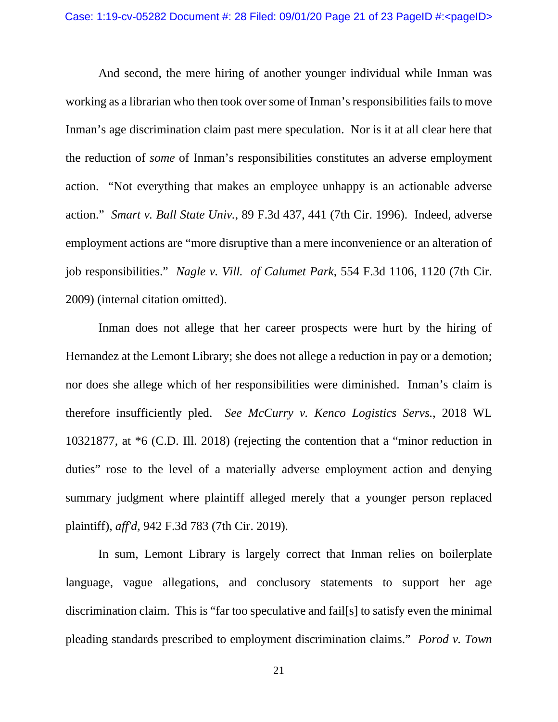And second, the mere hiring of another younger individual while Inman was working as a librarian who then took over some of Inman's responsibilities fails to move Inman's age discrimination claim past mere speculation. Nor is it at all clear here that the reduction of *some* of Inman's responsibilities constitutes an adverse employment action. "Not everything that makes an employee unhappy is an actionable adverse action." *Smart v. Ball State Univ.*, 89 F.3d 437, 441 (7th Cir. 1996). Indeed, adverse employment actions are "more disruptive than a mere inconvenience or an alteration of job responsibilities." *Nagle v. Vill. of Calumet Park*, 554 F.3d 1106, 1120 (7th Cir. 2009) (internal citation omitted).

Inman does not allege that her career prospects were hurt by the hiring of Hernandez at the Lemont Library; she does not allege a reduction in pay or a demotion; nor does she allege which of her responsibilities were diminished. Inman's claim is therefore insufficiently pled. *See McCurry v. Kenco Logistics Servs.*, 2018 WL 10321877, at \*6 (C.D. Ill. 2018) (rejecting the contention that a "minor reduction in duties" rose to the level of a materially adverse employment action and denying summary judgment where plaintiff alleged merely that a younger person replaced plaintiff), *aff'd*, 942 F.3d 783 (7th Cir. 2019).

In sum, Lemont Library is largely correct that Inman relies on boilerplate language, vague allegations, and conclusory statements to support her age discrimination claim. This is "far too speculative and fail[s] to satisfy even the minimal pleading standards prescribed to employment discrimination claims." *Porod v. Town*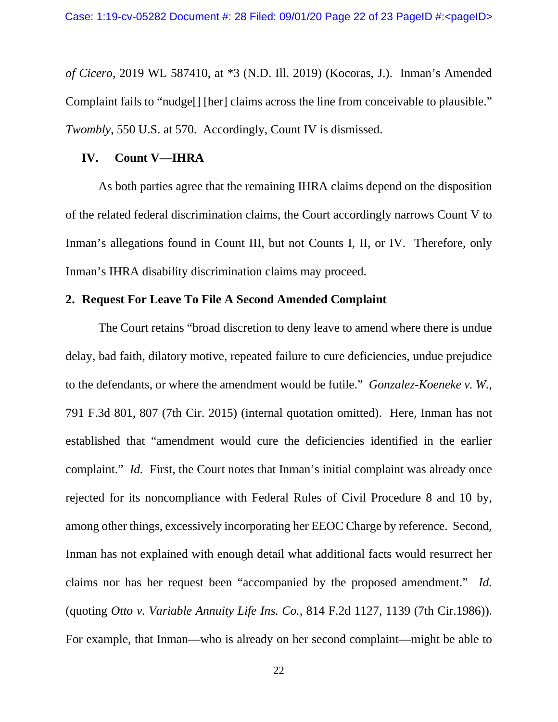*of Cicero*, 2019 WL 587410, at \*3 (N.D. Ill. 2019) (Kocoras, J.). Inman's Amended Complaint fails to "nudge[] [her] claims across the line from conceivable to plausible." *Twombly*, 550 U.S. at 570. Accordingly, Count IV is dismissed.

#### **IV. Count V—IHRA**

As both parties agree that the remaining IHRA claims depend on the disposition of the related federal discrimination claims, the Court accordingly narrows Count V to Inman's allegations found in Count III, but not Counts I, II, or IV. Therefore, only Inman's IHRA disability discrimination claims may proceed.

### **2. Request For Leave To File A Second Amended Complaint**

The Court retains "broad discretion to deny leave to amend where there is undue delay, bad faith, dilatory motive, repeated failure to cure deficiencies, undue prejudice to the defendants, or where the amendment would be futile." *Gonzalez-Koeneke v. W.*, 791 F.3d 801, 807 (7th Cir. 2015) (internal quotation omitted). Here, Inman has not established that "amendment would cure the deficiencies identified in the earlier complaint." *Id.* First, the Court notes that Inman's initial complaint was already once rejected for its noncompliance with Federal Rules of Civil Procedure 8 and 10 by, among other things, excessively incorporating her EEOC Charge by reference. Second, Inman has not explained with enough detail what additional facts would resurrect her claims nor has her request been "accompanied by the proposed amendment." *Id.* (quoting *Otto v. Variable Annuity Life Ins. Co.,* 814 F.2d 1127, 1139 (7th Cir.1986)). For example, that Inman—who is already on her second complaint—might be able to